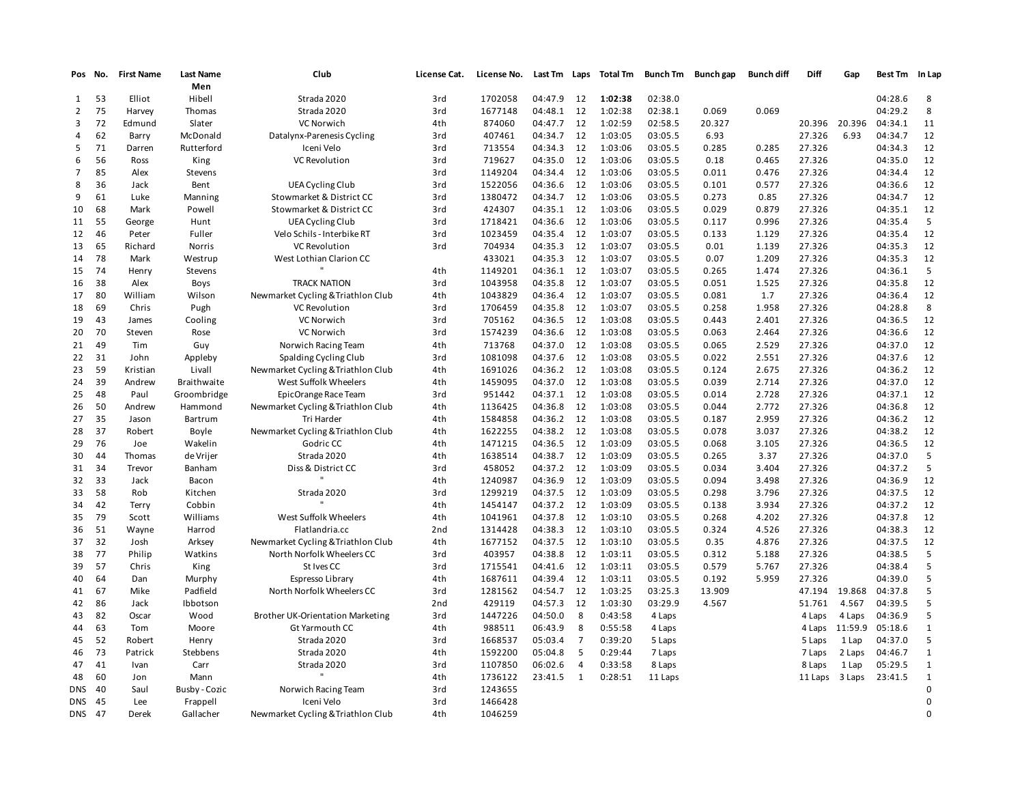| Pos            | No.  | <b>First Name</b> | <b>Last Name</b>   | Club                               | License Cat.    | License No. | Last Tm | Laps           | <b>Total Tm</b> | <b>Bunch Tm</b> | <b>Bunch gap</b> | <b>Bunch diff</b> | Diff    | Gap     | <b>Best Tm</b> | In Lap       |
|----------------|------|-------------------|--------------------|------------------------------------|-----------------|-------------|---------|----------------|-----------------|-----------------|------------------|-------------------|---------|---------|----------------|--------------|
|                |      |                   | Men                |                                    |                 |             |         |                |                 |                 |                  |                   |         |         |                |              |
| $\mathbf{1}$   | 53   | Elliot            | Hibell             | Strada 2020                        | 3rd             | 1702058     | 04:47.9 | 12             | 1:02:38         | 02:38.0         |                  |                   |         |         | 04:28.6        | 8            |
| 2              | 75   | Harvey            | Thomas             | Strada 2020                        | 3rd             | 1677148     | 04:48.1 | 12             | 1:02:38         | 02:38.1         | 0.069            | 0.069             |         |         | 04:29.2        | 8            |
| 3              | 72   | Edmund            | Slater             | VC Norwich                         | 4th             | 874060      | 04:47.7 | 12             | 1:02:59         | 02:58.5         | 20.327           |                   | 20.396  | 20.396  | 04:34.1        | 11           |
| 4              | 62   | Barry             | McDonald           | Datalynx-Parenesis Cycling         | 3rd             | 407461      | 04:34.7 | 12             | 1:03:05         | 03:05.5         | 6.93             |                   | 27.326  | 6.93    | 04:34.7        | 12           |
| 5              | 71   | Darren            | Rutterford         | Iceni Velo                         | 3rd             | 713554      | 04:34.3 | 12             | 1:03:06         | 03:05.5         | 0.285            | 0.285             | 27.326  |         | 04:34.3        | 12           |
| 6              | 56   | Ross              | King               | VC Revolution                      | 3rd             | 719627      | 04:35.0 | 12             | 1:03:06         | 03:05.5         | 0.18             | 0.465             | 27.326  |         | 04:35.0        | 12           |
| $\overline{7}$ | 85   | Alex              | Stevens            |                                    | 3rd             | 1149204     | 04:34.4 | 12             | 1:03:06         | 03:05.5         | 0.011            | 0.476             | 27.326  |         | 04:34.4        | 12           |
| 8              | 36   | Jack              | Bent               | <b>UEA Cycling Club</b>            | 3rd             | 1522056     | 04:36.6 | 12             | 1:03:06         | 03:05.5         | 0.101            | 0.577             | 27.326  |         | 04:36.6        | 12           |
| 9              | 61   | Luke              | Manning            | Stowmarket & District CC           | 3rd             | 1380472     | 04:34.7 | 12             | 1:03:06         | 03:05.5         | 0.273            | 0.85              | 27.326  |         | 04:34.7        | 12           |
| 10             | 68   | Mark              | Powell             | Stowmarket & District CC           | 3rd             | 424307      | 04:35.1 | 12             | 1:03:06         | 03:05.5         | 0.029            | 0.879             | 27.326  |         | 04:35.1        | 12           |
| 11             | 55   | George            | Hunt               | <b>UEA Cycling Club</b>            | 3rd             | 1718421     | 04:36.6 | 12             | 1:03:06         | 03:05.5         | 0.117            | 0.996             | 27.326  |         | 04:35.4        | 5            |
| 12             | 46   | Peter             | Fuller             | Velo Schils - Interbike RT         | 3rd             | 1023459     | 04:35.4 | 12             | 1:03:07         | 03:05.5         | 0.133            | 1.129             | 27.326  |         | 04:35.4        | 12           |
| 13             | 65   | Richard           | Norris             | <b>VC Revolution</b>               | 3rd             | 704934      | 04:35.3 | 12             | 1:03:07         | 03:05.5         | 0.01             | 1.139             | 27.326  |         | 04:35.3        | 12           |
| 14             | 78   | Mark              | Westrup            | West Lothian Clarion CC            |                 | 433021      | 04:35.3 | 12             | 1:03:07         | 03:05.5         | 0.07             | 1.209             | 27.326  |         | 04:35.3        | 12           |
| 15             | 74   | Henry             | Stevens            |                                    | 4th             | 1149201     | 04:36.1 | 12             | 1:03:07         | 03:05.5         | 0.265            | 1.474             | 27.326  |         | 04:36.1        | 5            |
| 16             | 38   | Alex              | Boys               | <b>TRACK NATION</b>                | 3rd             | 1043958     | 04:35.8 | 12             | 1:03:07         | 03:05.5         | 0.051            | 1.525             | 27.326  |         | 04:35.8        | 12           |
| 17             | 80   | William           | Wilson             | Newmarket Cycling & Triathlon Club | 4th             | 1043829     | 04:36.4 | 12             | 1:03:07         | 03:05.5         | 0.081            | 1.7               | 27.326  |         | 04:36.4        | 12           |
| 18             | 69   | Chris             | Pugh               | <b>VC Revolution</b>               | 3rd             | 1706459     | 04:35.8 | 12             | 1:03:07         | 03:05.5         | 0.258            | 1.958             | 27.326  |         | 04:28.8        | 8            |
| 19             | 43   | James             | Cooling            | VC Norwich                         | 3rd             | 705162      | 04:36.5 | 12             | 1:03:08         | 03:05.5         | 0.443            | 2.401             | 27.326  |         | 04:36.5        | 12           |
| 20             | 70   | Steven            | Rose               | VC Norwich                         | 3rd             | 1574239     | 04:36.6 | 12             | 1:03:08         | 03:05.5         | 0.063            | 2.464             | 27.326  |         | 04:36.6        | 12           |
| 21             | 49   | Tim               | Guy                | Norwich Racing Team                | 4th             | 713768      | 04:37.0 | 12             | 1:03:08         | 03:05.5         | 0.065            | 2.529             | 27.326  |         | 04:37.0        | 12           |
| 22             | 31   | John              | Appleby            | Spalding Cycling Club              | 3rd             | 1081098     | 04:37.6 | 12             | 1:03:08         | 03:05.5         | 0.022            | 2.551             | 27.326  |         | 04:37.6        | 12           |
| 23             | 59   | Kristian          | Livall             | Newmarket Cycling & Triathlon Club | 4th             | 1691026     | 04:36.2 | 12             | 1:03:08         | 03:05.5         | 0.124            | 2.675             | 27.326  |         | 04:36.2        | 12           |
| 24             | 39   | Andrew            | <b>Braithwaite</b> | West Suffolk Wheelers              | 4th             | 1459095     | 04:37.0 | 12             | 1:03:08         | 03:05.5         | 0.039            | 2.714             | 27.326  |         | 04:37.0        | 12           |
| 25             | 48   | Paul              | Groombridge        | EpicOrange Race Team               | 3rd             | 951442      | 04:37.1 | 12             | 1:03:08         | 03:05.5         | 0.014            | 2.728             | 27.326  |         | 04:37.1        | 12           |
| 26             | 50   | Andrew            | Hammond            | Newmarket Cycling & Triathlon Club | 4th             | 1136425     | 04:36.8 | 12             | 1:03:08         | 03:05.5         | 0.044            | 2.772             | 27.326  |         | 04:36.8        | 12           |
| 27             | 35   | Jason             | Bartrum            | Tri Harder                         | 4th             | 1584858     | 04:36.2 | 12             | 1:03:08         | 03:05.5         | 0.187            | 2.959             | 27.326  |         | 04:36.2        | 12           |
| 28             | 37   | Robert            | Boyle              | Newmarket Cycling & Triathlon Club | 4th             | 1622255     | 04:38.2 | 12             | 1:03:08         | 03:05.5         | 0.078            | 3.037             | 27.326  |         | 04:38.2        | 12           |
| 29             | 76   | Joe               | Wakelin            | Godric CC                          | 4th             | 1471215     | 04:36.5 | 12             | 1:03:09         | 03:05.5         | 0.068            | 3.105             | 27.326  |         | 04:36.5        | 12           |
| 30             | 44   | Thomas            | de Vrijer          | Strada 2020                        | 4th             | 1638514     | 04:38.7 | 12             | 1:03:09         | 03:05.5         | 0.265            | 3.37              | 27.326  |         | 04:37.0        | 5            |
| 31             | 34   | Trevor            | Banham             | Diss & District CC                 | 3rd             | 458052      | 04:37.2 | 12             | 1:03:09         | 03:05.5         | 0.034            | 3.404             | 27.326  |         | 04:37.2        | 5            |
| 32             | 33   | Jack              | Bacon              |                                    | 4th             | 1240987     | 04:36.9 | 12             | 1:03:09         | 03:05.5         | 0.094            | 3.498             | 27.326  |         | 04:36.9        | 12           |
| 33             | 58   | Rob               | Kitchen            | Strada 2020                        | 3rd             | 1299219     | 04:37.5 | 12             | 1:03:09         | 03:05.5         | 0.298            | 3.796             | 27.326  |         | 04:37.5        | 12           |
| 34             | 42   | Terry             | Cobbin             |                                    | 4th             | 1454147     | 04:37.2 | 12             | 1:03:09         | 03:05.5         | 0.138            | 3.934             | 27.326  |         | 04:37.2        | 12           |
| 35             | 79   | Scott             | Williams           | West Suffolk Wheelers              | 4th             | 1041961     | 04:37.8 | 12             | 1:03:10         | 03:05.5         | 0.268            | 4.202             | 27.326  |         | 04:37.8        | 12           |
| 36             | 51   | Wayne             | Harrod             | Flatlandria.cc                     | 2 <sub>nd</sub> | 1314428     | 04:38.3 | 12             | 1:03:10         | 03:05.5         | 0.324            | 4.526             | 27.326  |         | 04:38.3        | 12           |
| 37             | 32   | Josh              | Arksey             | Newmarket Cycling & Triathlon Club | 4th             | 1677152     | 04:37.5 | 12             | 1:03:10         | 03:05.5         | 0.35             | 4.876             | 27.326  |         | 04:37.5        | 12           |
| 38             | 77   | Philip            | Watkins            | North Norfolk Wheelers CC          | 3rd             | 403957      | 04:38.8 | 12             | 1:03:11         | 03:05.5         | 0.312            | 5.188             | 27.326  |         | 04:38.5        | 5            |
| 39             | 57   | Chris             | King               | St Ives CC                         | 3rd             | 1715541     | 04:41.6 | 12             | 1:03:11         | 03:05.5         | 0.579            | 5.767             | 27.326  |         | 04:38.4        | 5            |
| 40             | 64   | Dan               | Murphy             | Espresso Library                   | 4th             | 1687611     | 04:39.4 | 12             | 1:03:11         | 03:05.5         | 0.192            | 5.959             | 27.326  |         | 04:39.0        | 5            |
| 41             | 67   | Mike              | Padfield           | North Norfolk Wheelers CC          | 3rd             | 1281562     | 04:54.7 | 12             | 1:03:25         | 03:25.3         | 13.909           |                   | 47.194  | 19.868  | 04:37.8        | 5            |
|                | 86   |                   |                    |                                    |                 | 429119      | 04:57.3 | 12             | 1:03:30         | 03:29.9         | 4.567            |                   | 51.761  | 4.567   | 04:39.5        | 5            |
| 42             |      | Jack              | Ibbotson           |                                    | 2 <sub>nd</sub> |             |         |                |                 |                 |                  |                   |         |         |                |              |
| 43             | 82   | Oscar             | Wood               | Brother UK-Orientation Marketing   | 3rd             | 1447226     | 04:50.0 | 8              | 0:43:58         | 4 Laps          |                  |                   | 4 Laps  | 4 Laps  | 04:36.9        | 5            |
| 44             | 63   | Tom               | Moore              | Gt Yarmouth CC                     | 4th             | 988511      | 06:43.9 | 8              | 0:55:58         | 4 Laps          |                  |                   | 4 Laps  | 11:59.9 | 05:18.6        | $\mathbf{1}$ |
| 45             | 52   | Robert            | Henry              | Strada 2020                        | 3rd             | 1668537     | 05:03.4 | $\overline{7}$ | 0:39:20         | 5 Laps          |                  |                   | 5 Laps  | 1 Lap   | 04:37.0        | 5            |
| 46             | 73   | Patrick           | Stebbens           | Strada 2020                        | 4th             | 1592200     | 05:04.8 | -5             | 0:29:44         | 7 Laps          |                  |                   | 7 Laps  | 2 Laps  | 04:46.7        | $\mathbf{1}$ |
| 47             | 41   | Ivan              | Carr               | Strada 2020                        | 3rd             | 1107850     | 06:02.6 | 4              | 0:33:58         | 8 Laps          |                  |                   | 8 Laps  | 1 Lap   | 05:29.5        | $1\,$        |
| 48             | 60   | Jon               | Mann               |                                    | 4th             | 1736122     | 23:41.5 | $\mathbf{1}$   | 0:28:51         | 11 Laps         |                  |                   | 11 Laps | 3 Laps  | 23:41.5        | $\mathbf{1}$ |
| <b>DNS</b>     | - 40 | Saul              | Busby - Cozic      | Norwich Racing Team                | 3rd             | 1243655     |         |                |                 |                 |                  |                   |         |         |                | $\mathbf 0$  |
| <b>DNS</b>     | 45   | Lee               | Frappell           | Iceni Velo                         | 3rd             | 1466428     |         |                |                 |                 |                  |                   |         |         |                | $\mathbf 0$  |
| DNS 47         |      | Derek             | Gallacher          | Newmarket Cycling & Triathlon Club | 4th             | 1046259     |         |                |                 |                 |                  |                   |         |         |                | $\Omega$     |